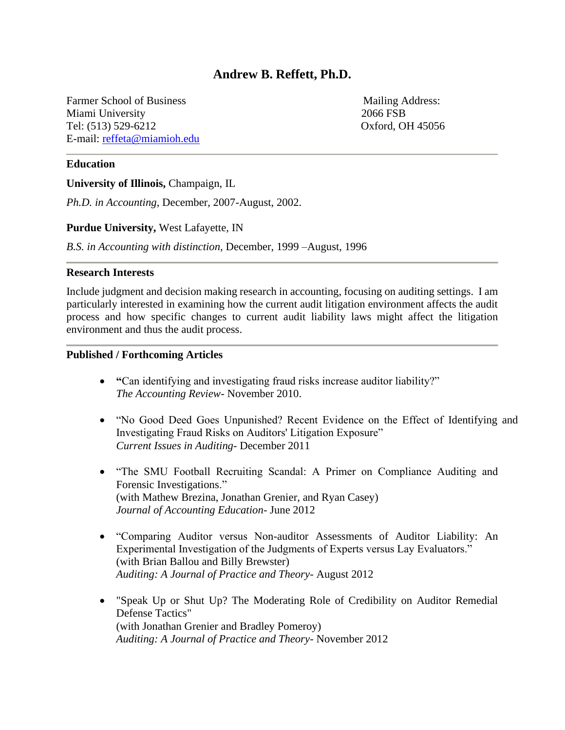# **Andrew B. Reffett, Ph.D.**

Farmer School of Business Mailing Address: Miami University 2066 FSB Tel: (513) 529-6212 Oxford, OH 45056 E-mail: reffeta@miamioh.edu

### **Education**

**University of Illinois,** Champaign, IL

*Ph.D. in Accounting,* December, 2007-August, 2002.

#### **Purdue University,** West Lafayette, IN

*B.S. in Accounting with distinction,* December, 1999 –August, 1996

#### **Research Interests**

Include judgment and decision making research in accounting, focusing on auditing settings. I am particularly interested in examining how the current audit litigation environment affects the audit process and how specific changes to current audit liability laws might affect the litigation environment and thus the audit process.

#### **Published / Forthcoming Articles**

- **"**Can identifying and investigating fraud risks increase auditor liability?" *The Accounting Review*- November 2010.
- "No Good Deed Goes Unpunished? Recent Evidence on the Effect of Identifying and Investigating Fraud Risks on Auditors' Litigation Exposure" *Current Issues in Auditing-* December 2011
- "The SMU Football Recruiting Scandal: A Primer on Compliance Auditing and Forensic Investigations." (with Mathew Brezina, Jonathan Grenier, and Ryan Casey) *Journal of Accounting Education*- June 2012
- "Comparing Auditor versus Non-auditor Assessments of Auditor Liability: An Experimental Investigation of the Judgments of Experts versus Lay Evaluators." (with Brian Ballou and Billy Brewster) *Auditing: A Journal of Practice and Theory*- August 2012
- "Speak Up or Shut Up? The Moderating Role of Credibility on Auditor Remedial Defense Tactics" (with Jonathan Grenier and Bradley Pomeroy) *Auditing: A Journal of Practice and Theory-* November 2012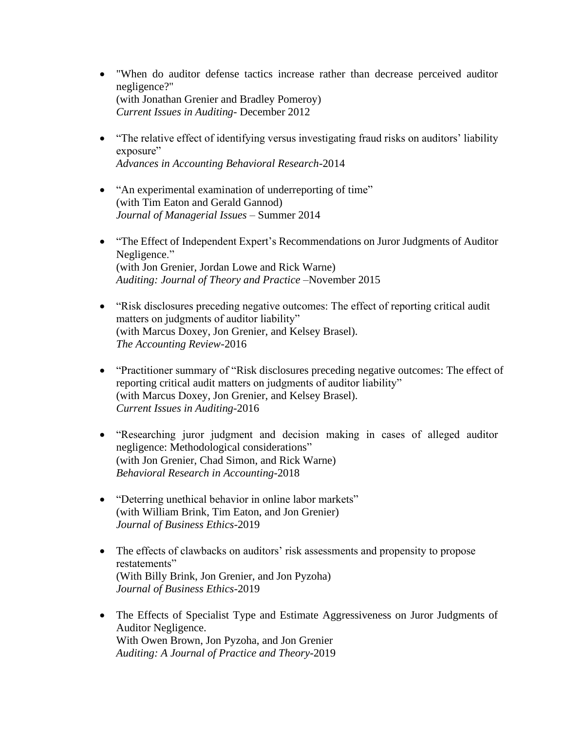- "When do auditor defense tactics increase rather than decrease perceived auditor negligence?" (with Jonathan Grenier and Bradley Pomeroy) *Current Issues in Auditing-* December 2012
- "The relative effect of identifying versus investigating fraud risks on auditors' liability exposure" *Advances in Accounting Behavioral Research-*2014
- "An experimental examination of underreporting of time" (with Tim Eaton and Gerald Gannod) *Journal of Managerial Issues –* Summer 2014
- "The Effect of Independent Expert's Recommendations on Juror Judgments of Auditor Negligence." (with Jon Grenier, Jordan Lowe and Rick Warne) *Auditing: Journal of Theory and Practice* –November 2015
- "Risk disclosures preceding negative outcomes: The effect of reporting critical audit matters on judgments of auditor liability" (with Marcus Doxey, Jon Grenier, and Kelsey Brasel). *The Accounting Review*-2016
- "Practitioner summary of "Risk disclosures preceding negative outcomes: The effect of reporting critical audit matters on judgments of auditor liability" (with Marcus Doxey, Jon Grenier, and Kelsey Brasel). *Current Issues in Auditing*-2016
- "Researching juror judgment and decision making in cases of alleged auditor negligence: Methodological considerations" (with Jon Grenier, Chad Simon, and Rick Warne) *Behavioral Research in Accounting*-2018
- "Deterring unethical behavior in online labor markets" (with William Brink, Tim Eaton, and Jon Grenier) *Journal of Business Ethics-*2019
- The effects of clawbacks on auditors' risk assessments and propensity to propose restatements" (With Billy Brink, Jon Grenier, and Jon Pyzoha) *Journal of Business Ethics*-2019
- The Effects of Specialist Type and Estimate Aggressiveness on Juror Judgments of Auditor Negligence. With Owen Brown, Jon Pyzoha, and Jon Grenier *Auditing: A Journal of Practice and Theory*-2019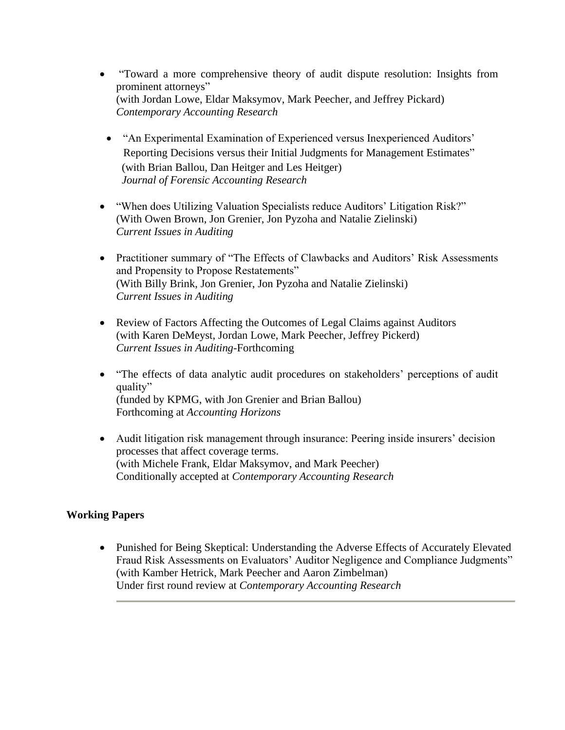- "Toward a more comprehensive theory of audit dispute resolution: Insights from prominent attorneys" (with Jordan Lowe, Eldar Maksymov, Mark Peecher, and Jeffrey Pickard) *Contemporary Accounting Research*
- "An Experimental Examination of Experienced versus Inexperienced Auditors' Reporting Decisions versus their Initial Judgments for Management Estimates" (with Brian Ballou, Dan Heitger and Les Heitger) *Journal of Forensic Accounting Research*
- "When does Utilizing Valuation Specialists reduce Auditors' Litigation Risk?" (With Owen Brown, Jon Grenier, Jon Pyzoha and Natalie Zielinski) *Current Issues in Auditing*
- Practitioner summary of "The Effects of Clawbacks and Auditors' Risk Assessments and Propensity to Propose Restatements" (With Billy Brink, Jon Grenier, Jon Pyzoha and Natalie Zielinski) *Current Issues in Auditing*
- Review of Factors Affecting the Outcomes of Legal Claims against Auditors (with Karen DeMeyst, Jordan Lowe, Mark Peecher, Jeffrey Pickerd) *Current Issues in Auditing*-Forthcoming
- "The effects of data analytic audit procedures on stakeholders' perceptions of audit quality" (funded by KPMG, with Jon Grenier and Brian Ballou) Forthcoming at *Accounting Horizons*
- Audit litigation risk management through insurance: Peering inside insurers' decision processes that affect coverage terms. (with Michele Frank, Eldar Maksymov, and Mark Peecher) Conditionally accepted at *Contemporary Accounting Research*

# **Working Papers**

• Punished for Being Skeptical: Understanding the Adverse Effects of Accurately Elevated Fraud Risk Assessments on Evaluators' Auditor Negligence and Compliance Judgments" (with Kamber Hetrick, Mark Peecher and Aaron Zimbelman) Under first round review at *Contemporary Accounting Research*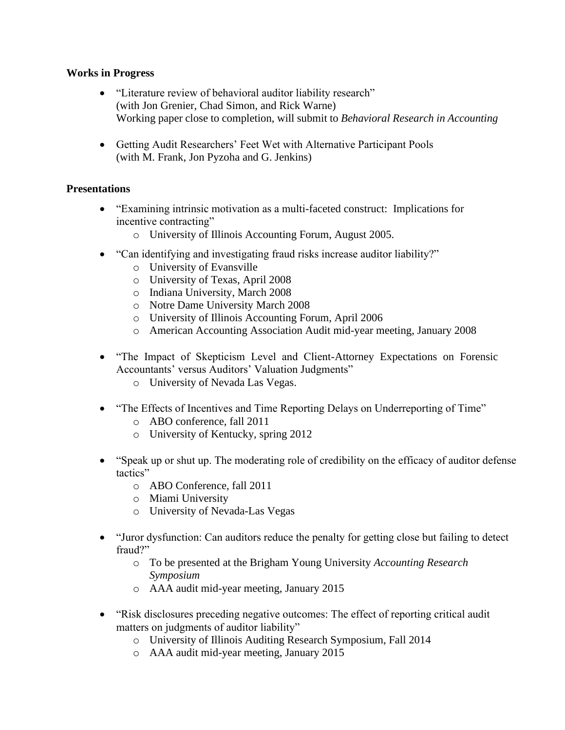### **Works in Progress**

- "Literature review of behavioral auditor liability research" (with Jon Grenier, Chad Simon, and Rick Warne) Working paper close to completion, will submit to *Behavioral Research in Accounting*
- Getting Audit Researchers' Feet Wet with Alternative Participant Pools (with M. Frank, Jon Pyzoha and G. Jenkins)

# **Presentations**

- "Examining intrinsic motivation as a multi-faceted construct: Implications for incentive contracting"
	- o University of Illinois Accounting Forum, August 2005.
- "Can identifying and investigating fraud risks increase auditor liability?"
	- o University of Evansville
	- o University of Texas, April 2008
	- o Indiana University, March 2008
	- o Notre Dame University March 2008
	- o University of Illinois Accounting Forum, April 2006
	- o American Accounting Association Audit mid-year meeting, January 2008
- "The Impact of Skepticism Level and Client-Attorney Expectations on Forensic Accountants' versus Auditors' Valuation Judgments"
	- o University of Nevada Las Vegas.
- "The Effects of Incentives and Time Reporting Delays on Underreporting of Time"
	- o ABO conference, fall 2011
	- o University of Kentucky, spring 2012
- "Speak up or shut up. The moderating role of credibility on the efficacy of auditor defense tactics"
	- o ABO Conference, fall 2011
	- o Miami University
	- o University of Nevada-Las Vegas
- "Juror dysfunction: Can auditors reduce the penalty for getting close but failing to detect fraud?"
	- o To be presented at the Brigham Young University *Accounting Research Symposium*
	- o AAA audit mid-year meeting, January 2015
- "Risk disclosures preceding negative outcomes: The effect of reporting critical audit matters on judgments of auditor liability"
	- o University of Illinois Auditing Research Symposium, Fall 2014
	- o AAA audit mid-year meeting, January 2015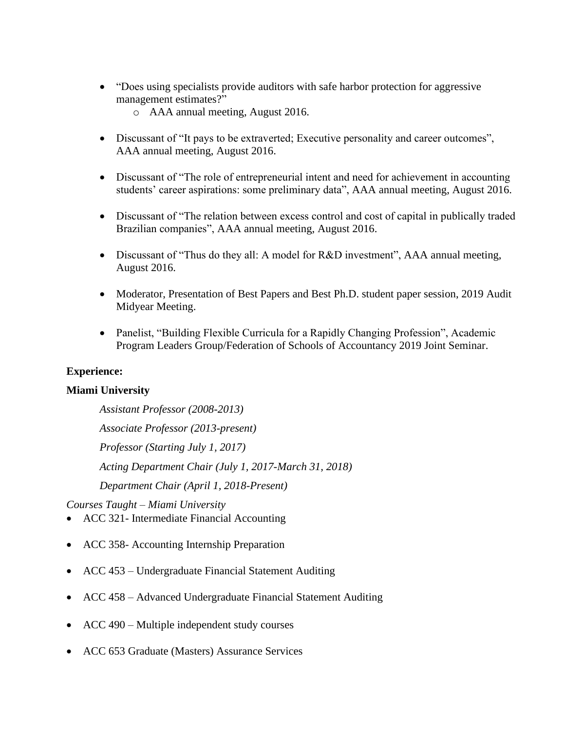- "Does using specialists provide auditors with safe harbor protection for aggressive management estimates?"
	- o AAA annual meeting, August 2016.
- Discussant of "It pays to be extraverted; Executive personality and career outcomes", AAA annual meeting, August 2016.
- Discussant of "The role of entrepreneurial intent and need for achievement in accounting students' career aspirations: some preliminary data", AAA annual meeting, August 2016.
- Discussant of "The relation between excess control and cost of capital in publically traded Brazilian companies", AAA annual meeting, August 2016.
- Discussant of "Thus do they all: A model for R&D investment", AAA annual meeting, August 2016.
- Moderator, Presentation of Best Papers and Best Ph.D. student paper session, 2019 Audit Midyear Meeting.
- Panelist, "Building Flexible Curricula for a Rapidly Changing Profession", Academic Program Leaders Group/Federation of Schools of Accountancy 2019 Joint Seminar.

# **Experience:**

# **Miami University**

*Assistant Professor (2008-2013) Associate Professor (2013-present) Professor (Starting July 1, 2017) Acting Department Chair (July 1, 2017-March 31, 2018) Department Chair (April 1, 2018-Present)*

*Courses Taught – Miami University*

- ACC 321- Intermediate Financial Accounting
- ACC 358- Accounting Internship Preparation
- ACC 453 Undergraduate Financial Statement Auditing
- ACC 458 Advanced Undergraduate Financial Statement Auditing
- ACC 490 Multiple independent study courses
- ACC 653 Graduate (Masters) Assurance Services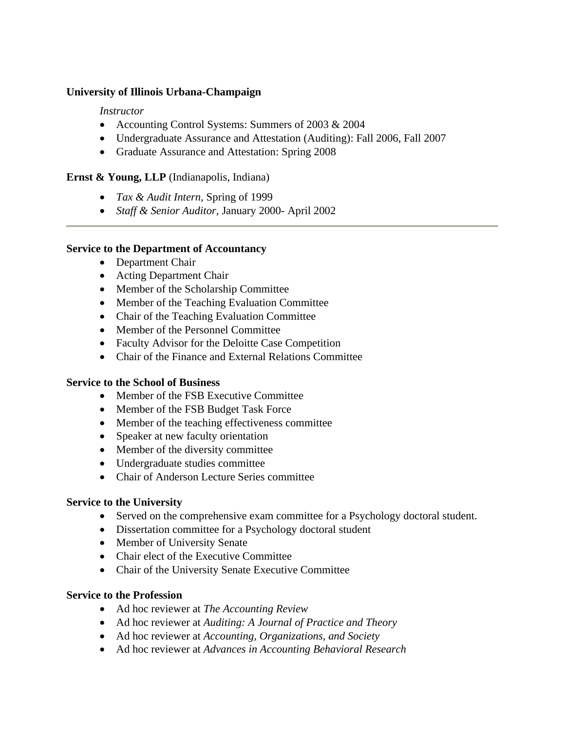### **University of Illinois Urbana-Champaign**

### *Instructor*

- Accounting Control Systems: Summers of 2003 & 2004
- Undergraduate Assurance and Attestation (Auditing): Fall 2006, Fall 2007
- Graduate Assurance and Attestation: Spring 2008

### **Ernst & Young, LLP** (Indianapolis, Indiana)

- *Tax & Audit Intern,* Spring of 1999
- *Staff & Senior Auditor,* January 2000- April 2002

### **Service to the Department of Accountancy**

- Department Chair
- Acting Department Chair
- Member of the Scholarship Committee
- Member of the Teaching Evaluation Committee
- Chair of the Teaching Evaluation Committee
- Member of the Personnel Committee
- Faculty Advisor for the Deloitte Case Competition
- Chair of the Finance and External Relations Committee

### **Service to the School of Business**

- Member of the FSB Executive Committee
- Member of the FSB Budget Task Force
- Member of the teaching effectiveness committee
- Speaker at new faculty orientation
- Member of the diversity committee
- Undergraduate studies committee
- Chair of Anderson Lecture Series committee

### **Service to the University**

- Served on the comprehensive exam committee for a Psychology doctoral student.
- Dissertation committee for a Psychology doctoral student
- Member of University Senate
- Chair elect of the Executive Committee
- Chair of the University Senate Executive Committee

### **Service to the Profession**

- Ad hoc reviewer at *The Accounting Review*
- Ad hoc reviewer at *Auditing: A Journal of Practice and Theory*
- Ad hoc reviewer at *Accounting, Organizations, and Society*
- Ad hoc reviewer at *Advances in Accounting Behavioral Research*